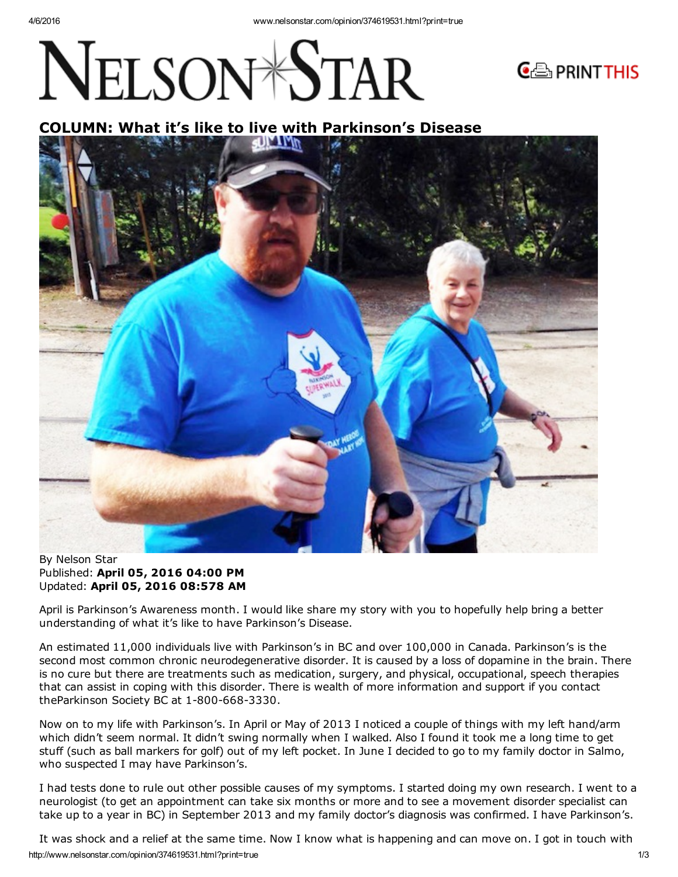## NELSON<sup>\*</sup>STAR



## COLUMN: What it's like to live with Parkinson's Disease



By Nelson Star Published: April 05, 2016 04:00 PM Updated: April 05, 2016 08:578 AM

April is Parkinson's Awareness month. I would like share my story with you to hopefully help bring a better understanding of what it's like to have Parkinson's Disease.

An estimated 11,000 individuals live with Parkinson's in BC and over 100,000 in Canada. Parkinson's is the second most common chronic neurodegenerative disorder. It is caused by a loss of dopamine in the brain. There is no cure but there are treatments such as medication, surgery, and physical, occupational, speech therapies that can assist in coping with this disorder. There is wealth of more information and support if you contact theParkinson Society BC at 1-800-668-3330.

Now on to my life with Parkinson's. In April or May of 2013 I noticed a couple of things with my left hand/arm which didn't seem normal. It didn't swing normally when I walked. Also I found it took me a long time to get stuff (such as ball markers for golf) out of my left pocket. In June I decided to go to my family doctor in Salmo, who suspected I may have Parkinson's.

I had tests done to rule out other possible causes of my symptoms. I started doing my own research. I went to a neurologist (to get an appointment can take six months or more and to see a movement disorder specialist can take up to a year in BC) in September 2013 and my family doctor's diagnosis was confirmed. I have Parkinson's.

http://www.nelsonstar.com/opinion/374619531.html?print=true 1/3 It was shock and a relief at the same time. Now I know what is happening and can move on. I got in touch with